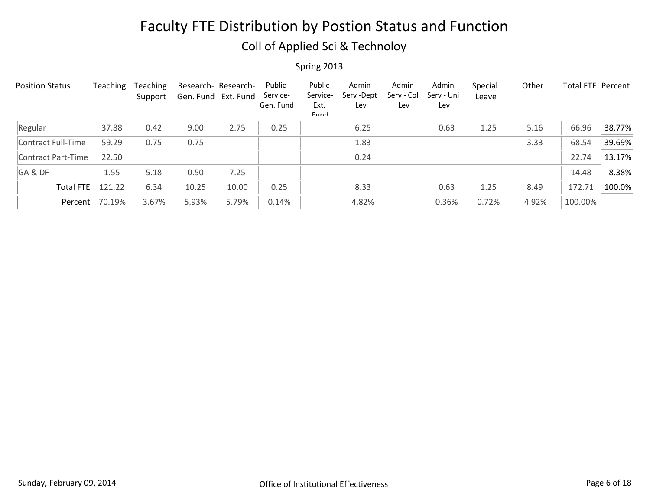## Coll of Applied Sci & Technoloy

| <b>Position Status</b> | Teaching | Teaching<br>Support | Research- Research-<br>Gen. Fund Ext. Fund |       | Public<br>Service-<br>Gen. Fund | Public<br>Service-<br>Ext.<br>Eund | Admin<br>Serv-Dept<br>Lev | Admin<br>Serv - Col<br>Lev | Admin<br>Serv - Uni<br>Lev | Special<br>Leave | Other | Total FTE Percent |        |
|------------------------|----------|---------------------|--------------------------------------------|-------|---------------------------------|------------------------------------|---------------------------|----------------------------|----------------------------|------------------|-------|-------------------|--------|
| Regular                | 37.88    | 0.42                | 9.00                                       | 2.75  | 0.25                            |                                    | 6.25                      |                            | 0.63                       | 1.25             | 5.16  | 66.96             | 38.77% |
| Contract Full-Time     | 59.29    | 0.75                | 0.75                                       |       |                                 |                                    | 1.83                      |                            |                            |                  | 3.33  | 68.54             | 39.69% |
| Contract Part-Time     | 22.50    |                     |                                            |       |                                 |                                    | 0.24                      |                            |                            |                  |       | 22.74             | 13.17% |
| GA&DF                  | 1.55     | 5.18                | 0.50                                       | 7.25  |                                 |                                    |                           |                            |                            |                  |       | 14.48             | 8.38%  |
| <b>Total FTE</b>       | 121.22   | 6.34                | 10.25                                      | 10.00 | 0.25                            |                                    | 8.33                      |                            | 0.63                       | 1.25             | 8.49  | 172.71            | 100.0% |
| Percent                | 70.19%   | 3.67%               | 5.93%                                      | 5.79% | 0.14%                           |                                    | 4.82%                     |                            | 0.36%                      | 0.72%            | 4.92% | 100.00%           |        |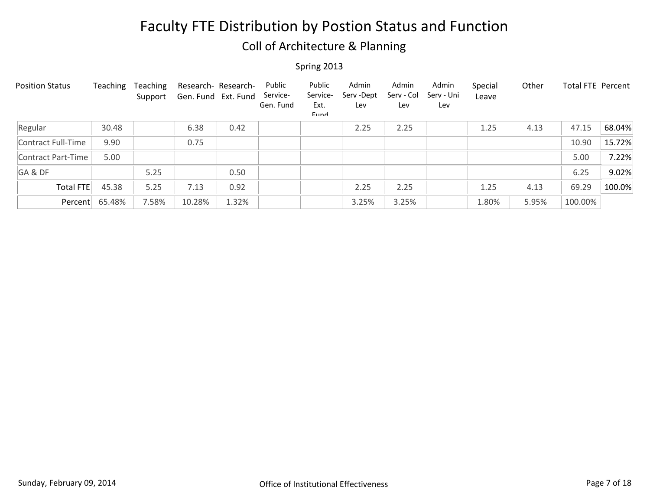## Coll of Architecture & Planning

| <b>Position Status</b> | Teaching | Teaching<br>Support | Research- Research-<br>Gen. Fund Ext. Fund |       | Public<br>Service-<br>Gen. Fund | Public<br>Service-<br>Ext.<br>Eund | Admin<br>Serv-Dept<br>Lev | Admin<br>Serv - Col<br>Lev | Admin<br>Serv - Uni<br>Lev | Special<br>Leave | Other | Total FTE Percent |        |
|------------------------|----------|---------------------|--------------------------------------------|-------|---------------------------------|------------------------------------|---------------------------|----------------------------|----------------------------|------------------|-------|-------------------|--------|
| Regular                | 30.48    |                     | 6.38                                       | 0.42  |                                 |                                    | 2.25                      | 2.25                       |                            | 1.25             | 4.13  | 47.15             | 68.04% |
| Contract Full-Time     | 9.90     |                     | 0.75                                       |       |                                 |                                    |                           |                            |                            |                  |       | 10.90             | 15.72% |
| Contract Part-Time     | 5.00     |                     |                                            |       |                                 |                                    |                           |                            |                            |                  |       | 5.00              | 7.22%  |
| GA&DF                  |          | 5.25                |                                            | 0.50  |                                 |                                    |                           |                            |                            |                  |       | 6.25              | 9.02%  |
| Total FTE              | 45.38    | 5.25                | 7.13                                       | 0.92  |                                 |                                    | 2.25                      | 2.25                       |                            | 1.25             | 4.13  | 69.29             | 100.0% |
| Percent                | 65.48%   | 7.58%               | 10.28%                                     | 1.32% |                                 |                                    | 3.25%                     | 3.25%                      |                            | 1.80%            | 5.95% | 100.00%           |        |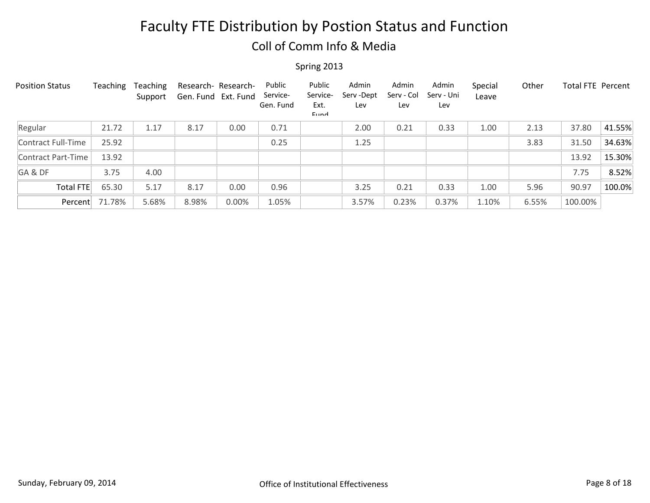### Coll of Comm Info & Media

| <b>Position Status</b> | Teaching | Teaching<br>Support | Research- Research-<br>Gen. Fund Ext. Fund |       | Public<br>Service-<br>Gen. Fund | Public<br>Service-<br>Ext.<br>Eund | Admin<br>Serv-Dept<br>Lev | Admin<br>Serv - Col<br>Lev | Admin<br>Serv - Uni<br>Lev | Special<br>Leave | Other | <b>Total FTE Percent</b> |        |
|------------------------|----------|---------------------|--------------------------------------------|-------|---------------------------------|------------------------------------|---------------------------|----------------------------|----------------------------|------------------|-------|--------------------------|--------|
| Regular                | 21.72    | 1.17                | 8.17                                       | 0.00  | 0.71                            |                                    | 2.00                      | 0.21                       | 0.33                       | 1.00             | 2.13  | 37.80                    | 41.55% |
| Contract Full-Time     | 25.92    |                     |                                            |       | 0.25                            |                                    | 1.25                      |                            |                            |                  | 3.83  | 31.50                    | 34.63% |
| Contract Part-Time     | 13.92    |                     |                                            |       |                                 |                                    |                           |                            |                            |                  |       | 13.92                    | 15.30% |
| GA&DF                  | 3.75     | 4.00                |                                            |       |                                 |                                    |                           |                            |                            |                  |       | 7.75                     | 8.52%  |
| <b>Total FTE</b>       | 65.30    | 5.17                | 8.17                                       | 0.00  | 0.96                            |                                    | 3.25                      | 0.21                       | 0.33                       | 1.00             | 5.96  | 90.97                    | 100.0% |
| Percent                | 71.78%   | 5.68%               | 8.98%                                      | 0.00% | 1.05%                           |                                    | 3.57%                     | 0.23%                      | 0.37%                      | 1.10%            | 6.55% | 100.00%                  |        |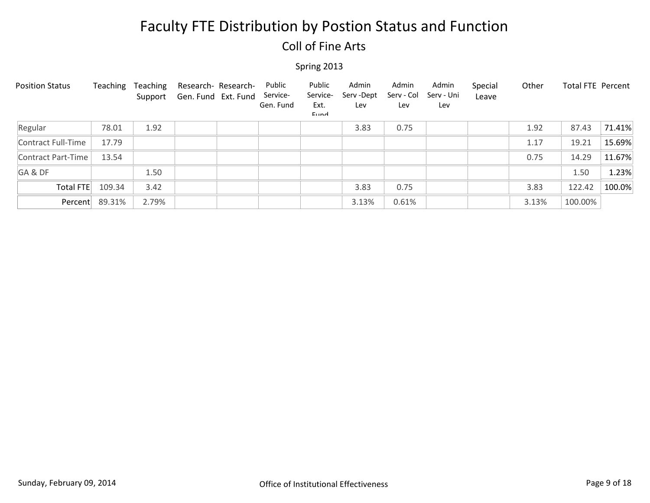### Coll of Fine Arts

| <b>Position Status</b> | Teaching | Teaching<br>Support | Research- Research-<br>Gen. Fund Ext. Fund | Public<br>Service-<br>Gen. Fund | Public<br>Service-<br>Ext.<br>Eund | Admin<br>Serv - Dept<br>Lev | Admin<br>Serv - Col<br>Lev | Admin<br>Serv - Uni<br>Lev | Special<br>Leave | Other | <b>Total FTE Percent</b> |        |
|------------------------|----------|---------------------|--------------------------------------------|---------------------------------|------------------------------------|-----------------------------|----------------------------|----------------------------|------------------|-------|--------------------------|--------|
| Regular                | 78.01    | 1.92                |                                            |                                 |                                    | 3.83                        | 0.75                       |                            |                  | 1.92  | 87.43                    | 71.41% |
| Contract Full-Time     | 17.79    |                     |                                            |                                 |                                    |                             |                            |                            |                  | 1.17  | 19.21                    | 15.69% |
| Contract Part-Time     | 13.54    |                     |                                            |                                 |                                    |                             |                            |                            |                  | 0.75  | 14.29                    | 11.67% |
| GA&DF                  |          | 1.50                |                                            |                                 |                                    |                             |                            |                            |                  |       | 1.50                     | 1.23%  |
| Total FTE              | 109.34   | 3.42                |                                            |                                 |                                    | 3.83                        | 0.75                       |                            |                  | 3.83  | 122.42                   | 100.0% |
| Percent                | 89.31%   | 2.79%               |                                            |                                 |                                    | 3.13%                       | 0.61%                      |                            |                  | 3.13% | 100.00%                  |        |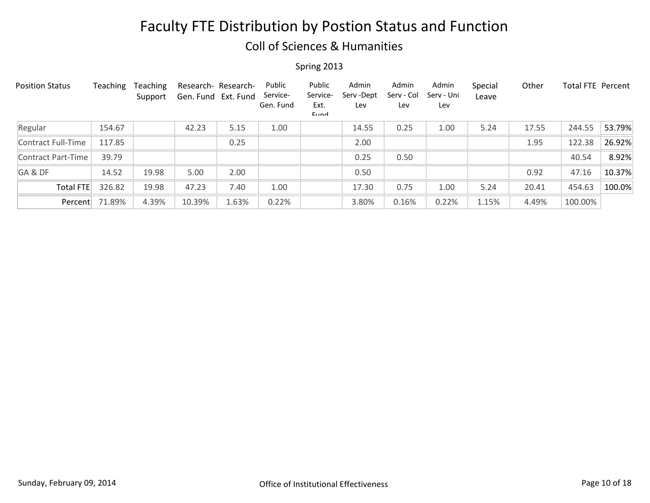### Coll of Sciences & Humanities

| <b>Position Status</b> | Teaching | <b>Teaching</b><br>Support | Research- Research-<br>Gen. Fund Ext. Fund |       | Public<br>Service-<br>Gen. Fund | Public<br>Service-<br>Ext.<br>Eund | Admin<br>Serv-Dept<br>Lev | Admin<br>Serv - Col<br>Lev | Admin<br>Serv - Uni<br>Lev | Special<br>Leave | Other | Total FTE Percent |        |
|------------------------|----------|----------------------------|--------------------------------------------|-------|---------------------------------|------------------------------------|---------------------------|----------------------------|----------------------------|------------------|-------|-------------------|--------|
| Regular                | 154.67   |                            | 42.23                                      | 5.15  | 1.00                            |                                    | 14.55                     | 0.25                       | 1.00                       | 5.24             | 17.55 | 244.55            | 53.79% |
| Contract Full-Time     | 117.85   |                            |                                            | 0.25  |                                 |                                    | 2.00                      |                            |                            |                  | 1.95  | 122.38            | 26.92% |
| Contract Part-Time     | 39.79    |                            |                                            |       |                                 |                                    | 0.25                      | 0.50                       |                            |                  |       | 40.54             | 8.92%  |
| GA&DF                  | 14.52    | 19.98                      | 5.00                                       | 2.00  |                                 |                                    | 0.50                      |                            |                            |                  | 0.92  | 47.16             | 10.37% |
| <b>Total FTE</b>       | 326.82   | 19.98                      | 47.23                                      | 7.40  | 1.00                            |                                    | 17.30                     | 0.75                       | 1.00                       | 5.24             | 20.41 | 454.63            | 100.0% |
| Percent                | 71.89%   | 4.39%                      | 10.39%                                     | 1.63% | 0.22%                           |                                    | 3.80%                     | 0.16%                      | 0.22%                      | 1.15%            | 4.49% | 100.00%           |        |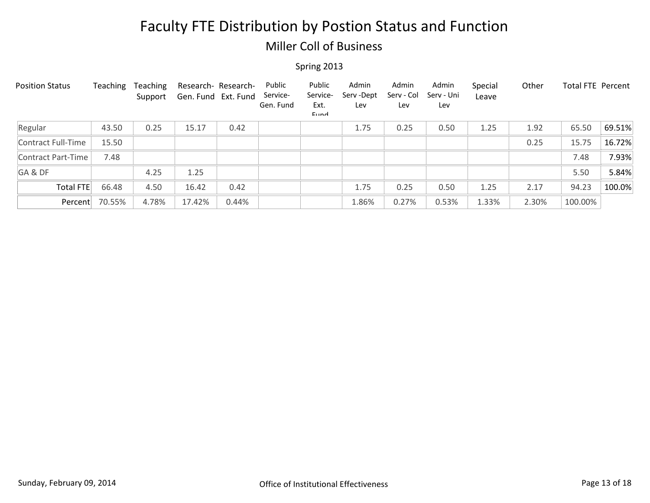### Miller Coll of Business

| <b>Position Status</b> | Teaching | <b>Teaching</b><br>Support | Research- Research-<br>Gen. Fund Ext. Fund |       | Public<br>Service-<br>Gen. Fund | Public<br>Service-<br>Ext.<br>Eund | Admin<br>Serv-Dept<br>Lev | Admin<br>Serv - Col<br>Lev | Admin<br>Serv - Uni<br>Lev | Special<br>Leave | Other | <b>Total FTE Percent</b> |        |
|------------------------|----------|----------------------------|--------------------------------------------|-------|---------------------------------|------------------------------------|---------------------------|----------------------------|----------------------------|------------------|-------|--------------------------|--------|
| Regular                | 43.50    | 0.25                       | 15.17                                      | 0.42  |                                 |                                    | 1.75                      | 0.25                       | 0.50                       | 1.25             | 1.92  | 65.50                    | 69.51% |
| Contract Full-Time     | 15.50    |                            |                                            |       |                                 |                                    |                           |                            |                            |                  | 0.25  | 15.75                    | 16.72% |
| Contract Part-Time     | 7.48     |                            |                                            |       |                                 |                                    |                           |                            |                            |                  |       | 7.48                     | 7.93%  |
| GA&DF                  |          | 4.25                       | 1.25                                       |       |                                 |                                    |                           |                            |                            |                  |       | 5.50                     | 5.84%  |
| Total FTE              | 66.48    | 4.50                       | 16.42                                      | 0.42  |                                 |                                    | 1.75                      | 0.25                       | 0.50                       | 1.25             | 2.17  | 94.23                    | 100.0% |
| Percent                | 70.55%   | 4.78%                      | 17.42%                                     | 0.44% |                                 |                                    | 1.86%                     | 0.27%                      | 0.53%                      | 1.33%            | 2.30% | 100.00%                  |        |